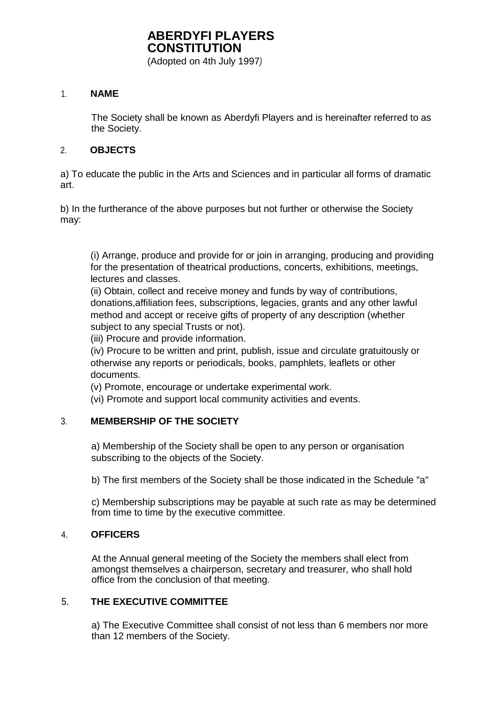(Adopted on 4th July 1997*)* 

#### 1. **NAME**

The Society shall be known as Aberdyfi Players and is hereinafter referred to as the Society.

### 2. **OBJECTS**

a) To educate the public in the Arts and Sciences and in particular all forms of dramatic art.

b) In the furtherance of the above purposes but not further or otherwise the Society may:

(i) Arrange, produce and provide for or join in arranging, producing and providing for the presentation of theatrical productions, concerts, exhibitions, meetings, lectures and classes.

(ii) Obtain, collect and receive money and funds by way of contributions, donations,affiliation fees, subscriptions, legacies, grants and any other lawful method and accept or receive gifts of property of any description (whether subject to any special Trusts or not).

(iii) Procure and provide information.

(iv) Procure to be written and print, publish, issue and circulate gratuitously or otherwise any reports or periodicals, books, pamphlets, leaflets or other documents.

(v) Promote, encourage or undertake experimental work.

(vi) Promote and support local community activities and events.

#### 3. **MEMBERSHIP OF THE SOCIETY**

a) Membership of the Society shall be open to any person or organisation subscribing to the objects of the Society.

b) The first members of the Society shall be those indicated in the Schedule "a"

c) Membership subscriptions may be payable at such rate as may be determined from time to time by the executive committee.

#### 4. **OFFICERS**

At the Annual general meeting of the Society the members shall elect from amongst themselves a chairperson, secretary and treasurer, who shall hold office from the conclusion of that meeting.

### 5. **THE EXECUTIVE COMMITTEE**

a) The Executive Committee shall consist of not less than 6 members nor more than 12 members of the Society.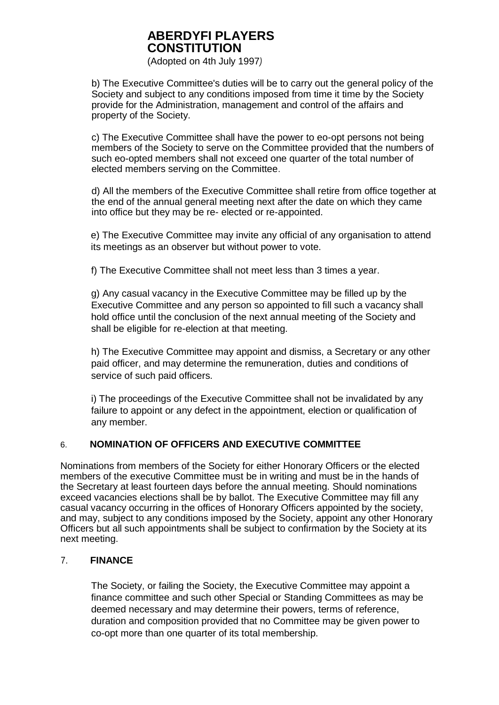(Adopted on 4th July 1997*)* 

b) The Executive Committee's duties will be to carry out the general policy of the Society and subject to any conditions imposed from time it time by the Society provide for the Administration, management and control of the affairs and property of the Society.

c) The Executive Committee shall have the power to eo-opt persons not being members of the Society to serve on the Committee provided that the numbers of such eo-opted members shall not exceed one quarter of the total number of elected members serving on the Committee.

d) All the members of the Executive Committee shall retire from office together at the end of the annual general meeting next after the date on which they came into office but they may be re- elected or re-appointed.

e) The Executive Committee may invite any official of any organisation to attend its meetings as an observer but without power to vote.

f) The Executive Committee shall not meet less than 3 times a year.

g) Any casual vacancy in the Executive Committee may be filled up by the Executive Committee and any person so appointed to fill such a vacancy shall hold office until the conclusion of the next annual meeting of the Society and shall be eligible for re-election at that meeting.

h) The Executive Committee may appoint and dismiss, a Secretary or any other paid officer, and may determine the remuneration, duties and conditions of service of such paid officers.

i) The proceedings of the Executive Committee shall not be invalidated by any failure to appoint or any defect in the appointment, election or qualification of any member.

### 6. **NOMINATION OF OFFICERS AND EXECUTIVE COMMITTEE**

Nominations from members of the Society for either Honorary Officers or the elected members of the executive Committee must be in writing and must be in the hands of the Secretary at least fourteen days before the annual meeting. Should nominations exceed vacancies elections shall be by ballot. The Executive Committee may fill any casual vacancy occurring in the offices of Honorary Officers appointed by the society, and may, subject to any conditions imposed by the Society, appoint any other Honorary Officers but all such appointments shall be subject to confirmation by the Society at its next meeting.

### 7. **FINANCE**

The Society, or failing the Society, the Executive Committee may appoint a finance committee and such other Special or Standing Committees as may be deemed necessary and may determine their powers, terms of reference, duration and composition provided that no Committee may be given power to co-opt more than one quarter of its total membership.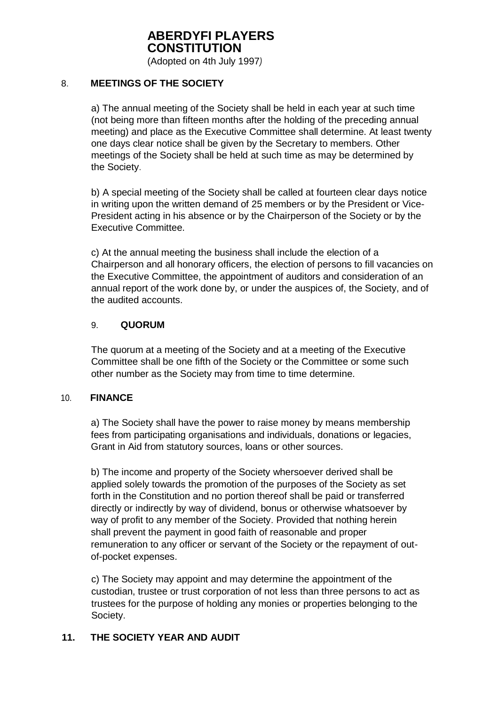(Adopted on 4th July 1997*)* 

### 8. **MEETINGS OF THE SOCIETY**

a) The annual meeting of the Society shall be held in each year at such time (not being more than fifteen months after the holding of the preceding annual meeting) and place as the Executive Committee shall determine. At least twenty one days clear notice shall be given by the Secretary to members. Other meetings of the Society shall be held at such time as may be determined by the Society.

b) A special meeting of the Society shall be called at fourteen clear days notice in writing upon the written demand of 25 members or by the President or Vice-President acting in his absence or by the Chairperson of the Society or by the Executive Committee.

c) At the annual meeting the business shall include the election of a Chairperson and all honorary officers, the election of persons to fill vacancies on the Executive Committee, the appointment of auditors and consideration of an annual report of the work done by, or under the auspices of, the Society, and of the audited accounts.

### 9. **QUORUM**

The quorum at a meeting of the Society and at a meeting of the Executive Committee shall be one fifth of the Society or the Committee or some such other number as the Society may from time to time determine.

### 10. **FINANCE**

a) The Society shall have the power to raise money by means membership fees from participating organisations and individuals, donations or legacies, Grant in Aid from statutory sources, loans or other sources.

b) The income and property of the Society whersoever derived shall be applied solely towards the promotion of the purposes of the Society as set forth in the Constitution and no portion thereof shall be paid or transferred directly or indirectly by way of dividend, bonus or otherwise whatsoever by way of profit to any member of the Society. Provided that nothing herein shall prevent the payment in good faith of reasonable and proper remuneration to any officer or servant of the Society or the repayment of outof-pocket expenses.

c) The Society may appoint and may determine the appointment of the custodian, trustee or trust corporation of not less than three persons to act as trustees for the purpose of holding any monies or properties belonging to the Society.

### **11. THE SOCIETY YEAR AND AUDIT**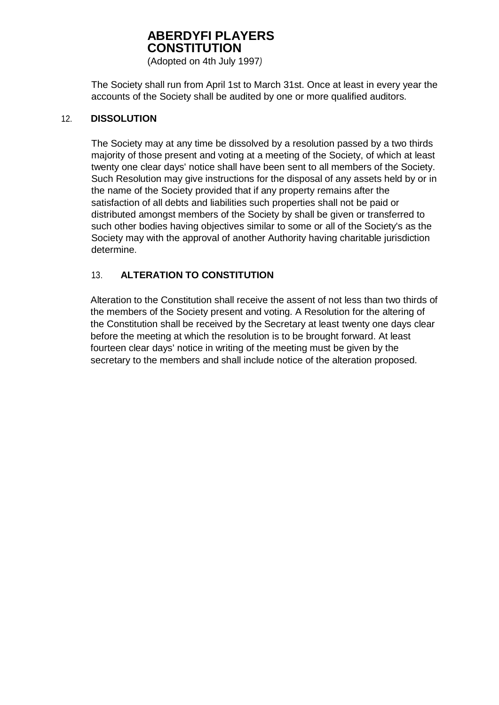(Adopted on 4th July 1997*)* 

The Society shall run from April 1st to March 31st. Once at least in every year the accounts of the Society shall be audited by one or more qualified auditors.

### 12. **DISSOLUTION**

The Society may at any time be dissolved by a resolution passed by a two thirds majority of those present and voting at a meeting of the Society, of which at least twenty one clear days' notice shall have been sent to all members of the Society. Such Resolution may give instructions for the disposal of any assets held by or in the name of the Society provided that if any property remains after the satisfaction of all debts and liabilities such properties shall not be paid or distributed amongst members of the Society by shall be given or transferred to such other bodies having objectives similar to some or all of the Society's as the Society may with the approval of another Authority having charitable jurisdiction determine.

### 13. **ALTERATION TO CONSTITUTION**

Alteration to the Constitution shall receive the assent of not less than two thirds of the members of the Society present and voting. A Resolution for the altering of the Constitution shall be received by the Secretary at least twenty one days clear before the meeting at which the resolution is to be brought forward. At least fourteen clear days' notice in writing of the meeting must be given by the secretary to the members and shall include notice of the alteration proposed.